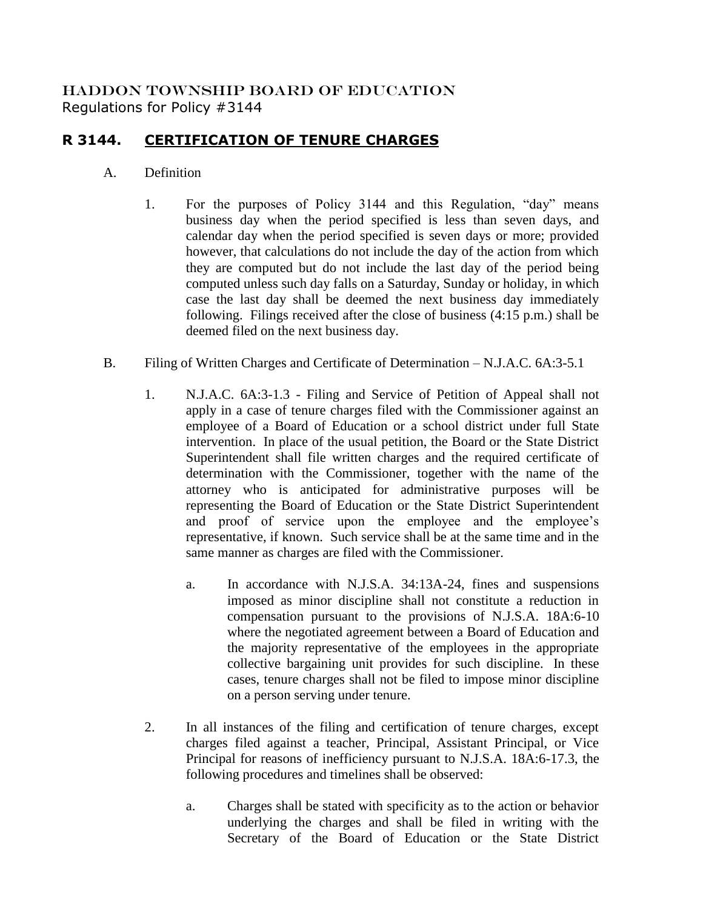## HADDON TOWNSHIP BOARD OF EDUCATION Regulations for Policy #3144

## **R 3144. CERTIFICATION OF TENURE CHARGES**

## A. Definition

- 1. For the purposes of Policy 3144 and this Regulation, "day" means business day when the period specified is less than seven days, and calendar day when the period specified is seven days or more; provided however, that calculations do not include the day of the action from which they are computed but do not include the last day of the period being computed unless such day falls on a Saturday, Sunday or holiday, in which case the last day shall be deemed the next business day immediately following. Filings received after the close of business (4:15 p.m.) shall be deemed filed on the next business day.
- B. Filing of Written Charges and Certificate of Determination N.J.A.C. 6A:3-5.1
	- 1. N.J.A.C. 6A:3-1.3 Filing and Service of Petition of Appeal shall not apply in a case of tenure charges filed with the Commissioner against an employee of a Board of Education or a school district under full State intervention. In place of the usual petition, the Board or the State District Superintendent shall file written charges and the required certificate of determination with the Commissioner, together with the name of the attorney who is anticipated for administrative purposes will be representing the Board of Education or the State District Superintendent and proof of service upon the employee and the employee's representative, if known. Such service shall be at the same time and in the same manner as charges are filed with the Commissioner.
		- a. In accordance with N.J.S.A. 34:13A-24, fines and suspensions imposed as minor discipline shall not constitute a reduction in compensation pursuant to the provisions of N.J.S.A. 18A:6-10 where the negotiated agreement between a Board of Education and the majority representative of the employees in the appropriate collective bargaining unit provides for such discipline. In these cases, tenure charges shall not be filed to impose minor discipline on a person serving under tenure.
	- 2. In all instances of the filing and certification of tenure charges, except charges filed against a teacher, Principal, Assistant Principal, or Vice Principal for reasons of inefficiency pursuant to N.J.S.A. 18A:6-17.3, the following procedures and timelines shall be observed:
		- a. Charges shall be stated with specificity as to the action or behavior underlying the charges and shall be filed in writing with the Secretary of the Board of Education or the State District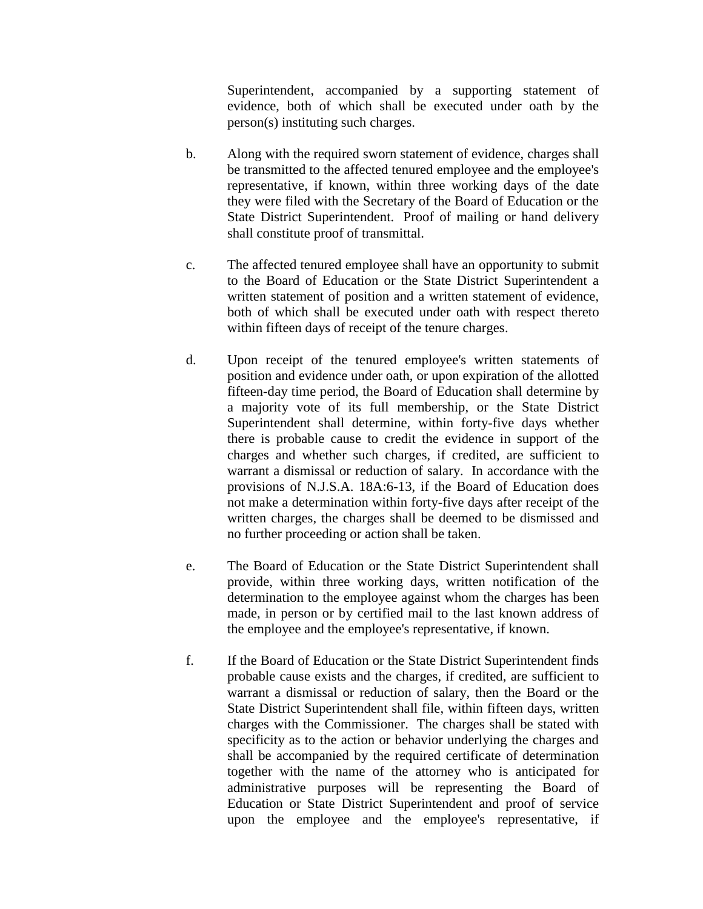Superintendent, accompanied by a supporting statement of evidence, both of which shall be executed under oath by the person(s) instituting such charges.

- b. Along with the required sworn statement of evidence, charges shall be transmitted to the affected tenured employee and the employee's representative, if known, within three working days of the date they were filed with the Secretary of the Board of Education or the State District Superintendent. Proof of mailing or hand delivery shall constitute proof of transmittal.
- c. The affected tenured employee shall have an opportunity to submit to the Board of Education or the State District Superintendent a written statement of position and a written statement of evidence, both of which shall be executed under oath with respect thereto within fifteen days of receipt of the tenure charges.
- d. Upon receipt of the tenured employee's written statements of position and evidence under oath, or upon expiration of the allotted fifteen-day time period, the Board of Education shall determine by a majority vote of its full membership, or the State District Superintendent shall determine, within forty-five days whether there is probable cause to credit the evidence in support of the charges and whether such charges, if credited, are sufficient to warrant a dismissal or reduction of salary. In accordance with the provisions of N.J.S.A. 18A:6-13, if the Board of Education does not make a determination within forty-five days after receipt of the written charges, the charges shall be deemed to be dismissed and no further proceeding or action shall be taken.
- e. The Board of Education or the State District Superintendent shall provide, within three working days, written notification of the determination to the employee against whom the charges has been made, in person or by certified mail to the last known address of the employee and the employee's representative, if known.
- f. If the Board of Education or the State District Superintendent finds probable cause exists and the charges, if credited, are sufficient to warrant a dismissal or reduction of salary, then the Board or the State District Superintendent shall file, within fifteen days, written charges with the Commissioner. The charges shall be stated with specificity as to the action or behavior underlying the charges and shall be accompanied by the required certificate of determination together with the name of the attorney who is anticipated for administrative purposes will be representing the Board of Education or State District Superintendent and proof of service upon the employee and the employee's representative, if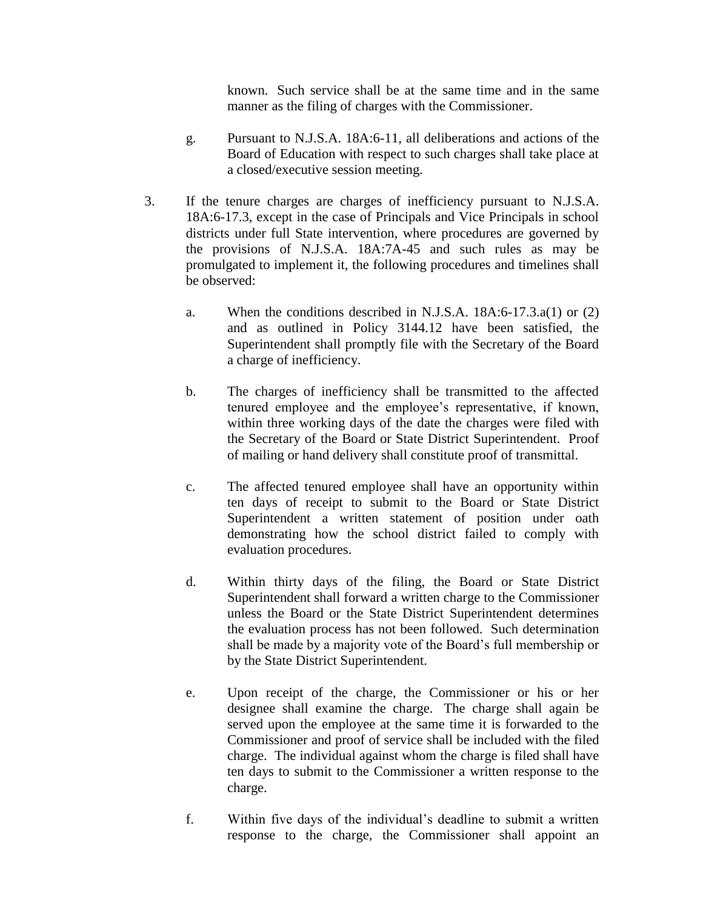known. Such service shall be at the same time and in the same manner as the filing of charges with the Commissioner.

- g. Pursuant to N.J.S.A. 18A:6-11, all deliberations and actions of the Board of Education with respect to such charges shall take place at a closed/executive session meeting.
- 3. If the tenure charges are charges of inefficiency pursuant to N.J.S.A. 18A:6-17.3, except in the case of Principals and Vice Principals in school districts under full State intervention, where procedures are governed by the provisions of N.J.S.A. 18A:7A-45 and such rules as may be promulgated to implement it, the following procedures and timelines shall be observed:
	- a. When the conditions described in N.J.S.A. 18A:6-17.3.a(1) or (2) and as outlined in Policy 3144.12 have been satisfied, the Superintendent shall promptly file with the Secretary of the Board a charge of inefficiency.
	- b. The charges of inefficiency shall be transmitted to the affected tenured employee and the employee's representative, if known, within three working days of the date the charges were filed with the Secretary of the Board or State District Superintendent. Proof of mailing or hand delivery shall constitute proof of transmittal.
	- c. The affected tenured employee shall have an opportunity within ten days of receipt to submit to the Board or State District Superintendent a written statement of position under oath demonstrating how the school district failed to comply with evaluation procedures.
	- d. Within thirty days of the filing, the Board or State District Superintendent shall forward a written charge to the Commissioner unless the Board or the State District Superintendent determines the evaluation process has not been followed. Such determination shall be made by a majority vote of the Board's full membership or by the State District Superintendent.
	- e. Upon receipt of the charge, the Commissioner or his or her designee shall examine the charge. The charge shall again be served upon the employee at the same time it is forwarded to the Commissioner and proof of service shall be included with the filed charge. The individual against whom the charge is filed shall have ten days to submit to the Commissioner a written response to the charge.
	- f. Within five days of the individual's deadline to submit a written response to the charge, the Commissioner shall appoint an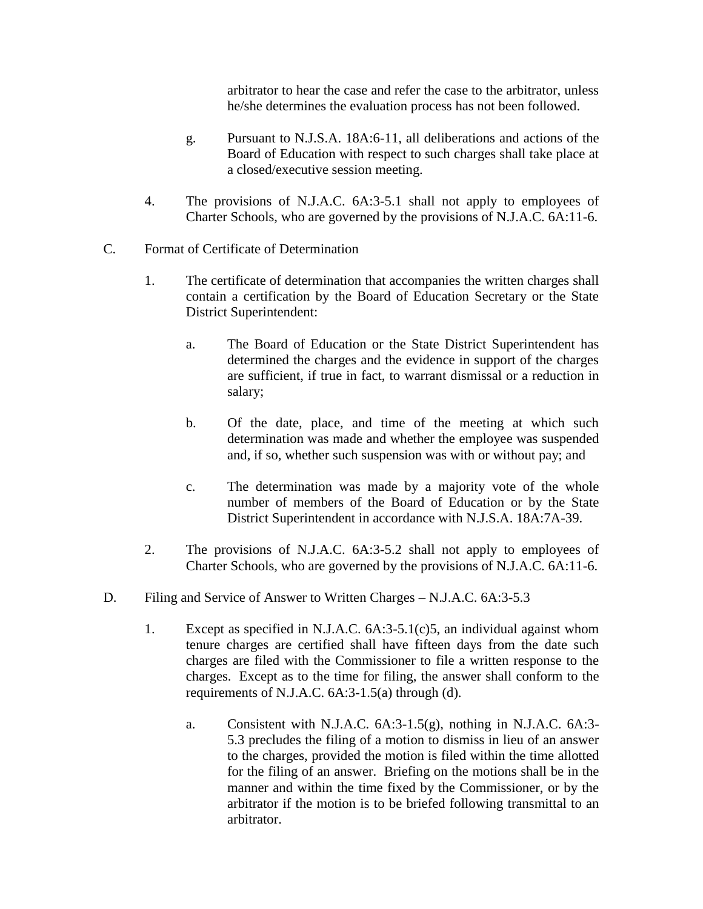arbitrator to hear the case and refer the case to the arbitrator, unless he/she determines the evaluation process has not been followed.

- g. Pursuant to N.J.S.A. 18A:6-11, all deliberations and actions of the Board of Education with respect to such charges shall take place at a closed/executive session meeting.
- 4. The provisions of N.J.A.C. 6A:3-5.1 shall not apply to employees of Charter Schools, who are governed by the provisions of N.J.A.C. 6A:11-6.
- C. Format of Certificate of Determination
	- 1. The certificate of determination that accompanies the written charges shall contain a certification by the Board of Education Secretary or the State District Superintendent:
		- a. The Board of Education or the State District Superintendent has determined the charges and the evidence in support of the charges are sufficient, if true in fact, to warrant dismissal or a reduction in salary;
		- b. Of the date, place, and time of the meeting at which such determination was made and whether the employee was suspended and, if so, whether such suspension was with or without pay; and
		- c. The determination was made by a majority vote of the whole number of members of the Board of Education or by the State District Superintendent in accordance with N.J.S.A. 18A:7A-39.
	- 2. The provisions of N.J.A.C. 6A:3-5.2 shall not apply to employees of Charter Schools, who are governed by the provisions of N.J.A.C. 6A:11-6.
- D. Filing and Service of Answer to Written Charges N.J.A.C. 6A:3-5.3
	- 1. Except as specified in N.J.A.C. 6A:3-5.1(c)5, an individual against whom tenure charges are certified shall have fifteen days from the date such charges are filed with the Commissioner to file a written response to the charges. Except as to the time for filing, the answer shall conform to the requirements of N.J.A.C. 6A:3-1.5(a) through (d).
		- a. Consistent with N.J.A.C. 6A:3-1.5(g), nothing in N.J.A.C. 6A:3- 5.3 precludes the filing of a motion to dismiss in lieu of an answer to the charges, provided the motion is filed within the time allotted for the filing of an answer. Briefing on the motions shall be in the manner and within the time fixed by the Commissioner, or by the arbitrator if the motion is to be briefed following transmittal to an arbitrator.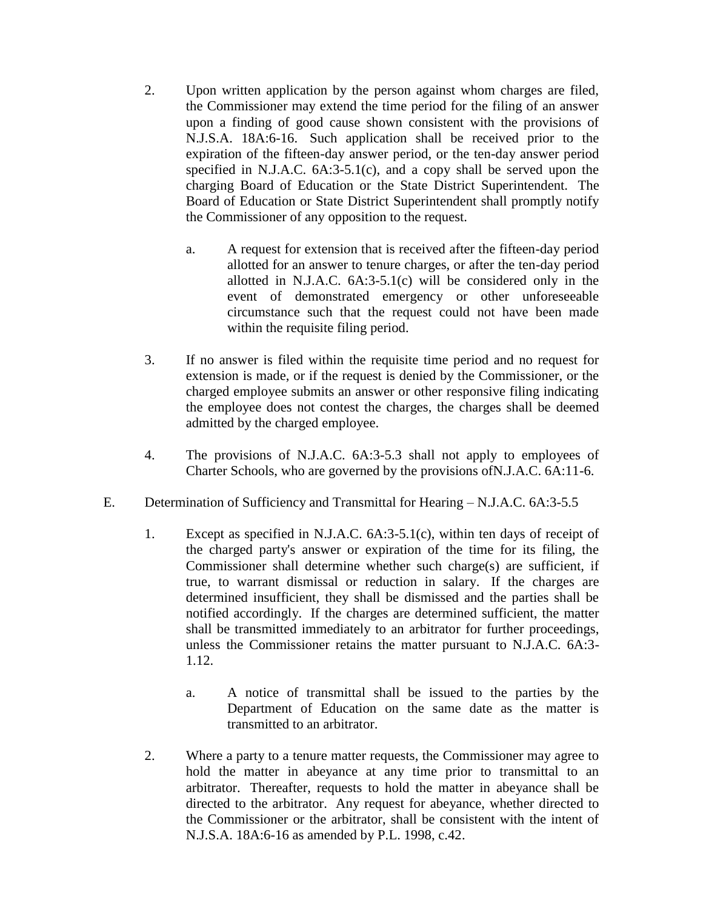- 2. Upon written application by the person against whom charges are filed, the Commissioner may extend the time period for the filing of an answer upon a finding of good cause shown consistent with the provisions of N.J.S.A. 18A:6-16. Such application shall be received prior to the expiration of the fifteen-day answer period, or the ten-day answer period specified in N.J.A.C. 6A:3-5.1(c), and a copy shall be served upon the charging Board of Education or the State District Superintendent. The Board of Education or State District Superintendent shall promptly notify the Commissioner of any opposition to the request.
	- a. A request for extension that is received after the fifteen-day period allotted for an answer to tenure charges, or after the ten-day period allotted in N.J.A.C. 6A:3-5.1(c) will be considered only in the event of demonstrated emergency or other unforeseeable circumstance such that the request could not have been made within the requisite filing period.
- 3. If no answer is filed within the requisite time period and no request for extension is made, or if the request is denied by the Commissioner, or the charged employee submits an answer or other responsive filing indicating the employee does not contest the charges, the charges shall be deemed admitted by the charged employee.
- 4. The provisions of N.J.A.C. 6A:3-5.3 shall not apply to employees of Charter Schools, who are governed by the provisions ofN.J.A.C. 6A:11-6.
- E. Determination of Sufficiency and Transmittal for Hearing N.J.A.C. 6A:3-5.5
	- 1. Except as specified in N.J.A.C. 6A:3-5.1(c), within ten days of receipt of the charged party's answer or expiration of the time for its filing, the Commissioner shall determine whether such charge(s) are sufficient, if true, to warrant dismissal or reduction in salary. If the charges are determined insufficient, they shall be dismissed and the parties shall be notified accordingly. If the charges are determined sufficient, the matter shall be transmitted immediately to an arbitrator for further proceedings, unless the Commissioner retains the matter pursuant to N.J.A.C. 6A:3- 1.12.
		- a. A notice of transmittal shall be issued to the parties by the Department of Education on the same date as the matter is transmitted to an arbitrator.
	- 2. Where a party to a tenure matter requests, the Commissioner may agree to hold the matter in abeyance at any time prior to transmittal to an arbitrator. Thereafter, requests to hold the matter in abeyance shall be directed to the arbitrator. Any request for abeyance, whether directed to the Commissioner or the arbitrator, shall be consistent with the intent of N.J.S.A. 18A:6-16 as amended by P.L. 1998, c.42.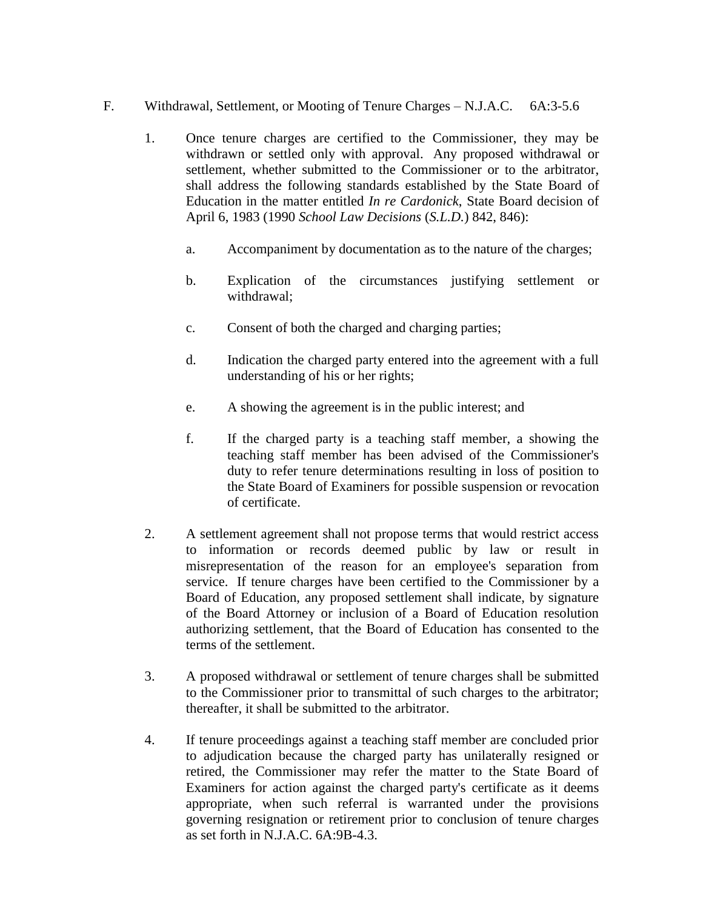- F. Withdrawal, Settlement, or Mooting of Tenure Charges N.J.A.C. 6A:3-5.6
	- 1. Once tenure charges are certified to the Commissioner, they may be withdrawn or settled only with approval. Any proposed withdrawal or settlement, whether submitted to the Commissioner or to the arbitrator, shall address the following standards established by the State Board of Education in the matter entitled *In re Cardonick*, State Board decision of April 6, 1983 (1990 *School Law Decisions* (*S.L.D.*) 842, 846):
		- a. Accompaniment by documentation as to the nature of the charges;
		- b. Explication of the circumstances justifying settlement or withdrawal;
		- c. Consent of both the charged and charging parties;
		- d. Indication the charged party entered into the agreement with a full understanding of his or her rights;
		- e. A showing the agreement is in the public interest; and
		- f. If the charged party is a teaching staff member, a showing the teaching staff member has been advised of the Commissioner's duty to refer tenure determinations resulting in loss of position to the State Board of Examiners for possible suspension or revocation of certificate.
	- 2. A settlement agreement shall not propose terms that would restrict access to information or records deemed public by law or result in misrepresentation of the reason for an employee's separation from service. If tenure charges have been certified to the Commissioner by a Board of Education, any proposed settlement shall indicate, by signature of the Board Attorney or inclusion of a Board of Education resolution authorizing settlement, that the Board of Education has consented to the terms of the settlement.
	- 3. A proposed withdrawal or settlement of tenure charges shall be submitted to the Commissioner prior to transmittal of such charges to the arbitrator; thereafter, it shall be submitted to the arbitrator.
	- 4. If tenure proceedings against a teaching staff member are concluded prior to adjudication because the charged party has unilaterally resigned or retired, the Commissioner may refer the matter to the State Board of Examiners for action against the charged party's certificate as it deems appropriate, when such referral is warranted under the provisions governing resignation or retirement prior to conclusion of tenure charges as set forth in N.J.A.C. 6A:9B-4.3.